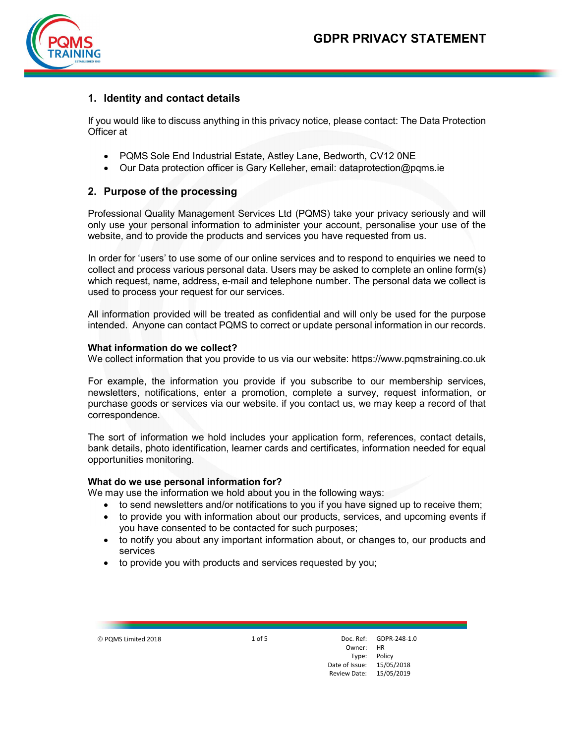

# 1. Identity and contact details

If you would like to discuss anything in this privacy notice, please contact: The Data Protection Officer at

- PQMS Sole End Industrial Estate, Astley Lane, Bedworth, CV12 0NE
- Our Data protection officer is Gary Kelleher, email: dataprotection@pqms.ie

# 2. Purpose of the processing

Professional Quality Management Services Ltd (PQMS) take your privacy seriously and will only use your personal information to administer your account, personalise your use of the website, and to provide the products and services you have requested from us.

In order for 'users' to use some of our online services and to respond to enquiries we need to collect and process various personal data. Users may be asked to complete an online form(s) which request, name, address, e-mail and telephone number. The personal data we collect is used to process your request for our services.

All information provided will be treated as confidential and will only be used for the purpose intended. Anyone can contact PQMS to correct or update personal information in our records.

### What information do we collect?

We collect information that you provide to us via our website: https://www.pqmstraining.co.uk

For example, the information you provide if you subscribe to our membership services, newsletters, notifications, enter a promotion, complete a survey, request information, or purchase goods or services via our website. if you contact us, we may keep a record of that correspondence.

The sort of information we hold includes your application form, references, contact details, bank details, photo identification, learner cards and certificates, information needed for equal opportunities monitoring.

#### What do we use personal information for?

We may use the information we hold about you in the following ways:

- to send newsletters and/or notifications to you if you have signed up to receive them;
- to provide you with information about our products, services, and upcoming events if you have consented to be contacted for such purposes;
- to notify you about any important information about, or changes to, our products and services
- to provide you with products and services requested by you;

© PQMS Limited 2018 1 of 5

Owner: HR Type: Policy Date of Issue: Review Date: Doc. Ref: **GDPR-248-1.0** 15/05/2018 15/05/2019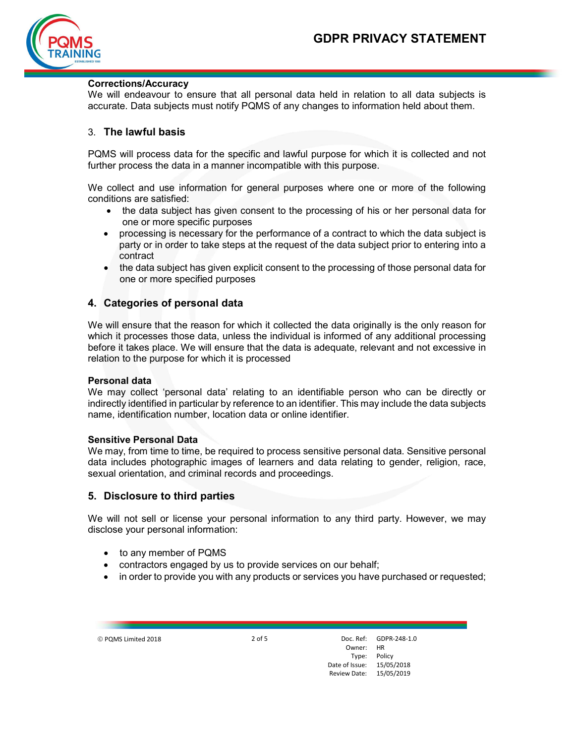

### Corrections/Accuracy

We will endeavour to ensure that all personal data held in relation to all data subjects is accurate. Data subjects must notify PQMS of any changes to information held about them.

## 3. The lawful basis

PQMS will process data for the specific and lawful purpose for which it is collected and not further process the data in a manner incompatible with this purpose.

We collect and use information for general purposes where one or more of the following conditions are satisfied:

- the data subject has given consent to the processing of his or her personal data for one or more specific purposes
- processing is necessary for the performance of a contract to which the data subject is party or in order to take steps at the request of the data subject prior to entering into a contract
- the data subject has given explicit consent to the processing of those personal data for one or more specified purposes

## 4. Categories of personal data

We will ensure that the reason for which it collected the data originally is the only reason for which it processes those data, unless the individual is informed of any additional processing before it takes place. We will ensure that the data is adequate, relevant and not excessive in relation to the purpose for which it is processed

#### Personal data

We may collect 'personal data' relating to an identifiable person who can be directly or indirectly identified in particular by reference to an identifier. This may include the data subjects name, identification number, location data or online identifier.

#### Sensitive Personal Data

We may, from time to time, be required to process sensitive personal data. Sensitive personal data includes photographic images of learners and data relating to gender, religion, race, sexual orientation, and criminal records and proceedings.

### 5. Disclosure to third parties

We will not sell or license your personal information to any third party. However, we may disclose your personal information:

- to any member of PQMS
- contractors engaged by us to provide services on our behalf;
- in order to provide you with any products or services you have purchased or requested;

PQMS Limited 2018 2 of 5 Doc. Ref:

Owner: HR Type: Policy Date of Issue: Review Date: 15/05/2019 GDPR-248-1.0 15/05/2018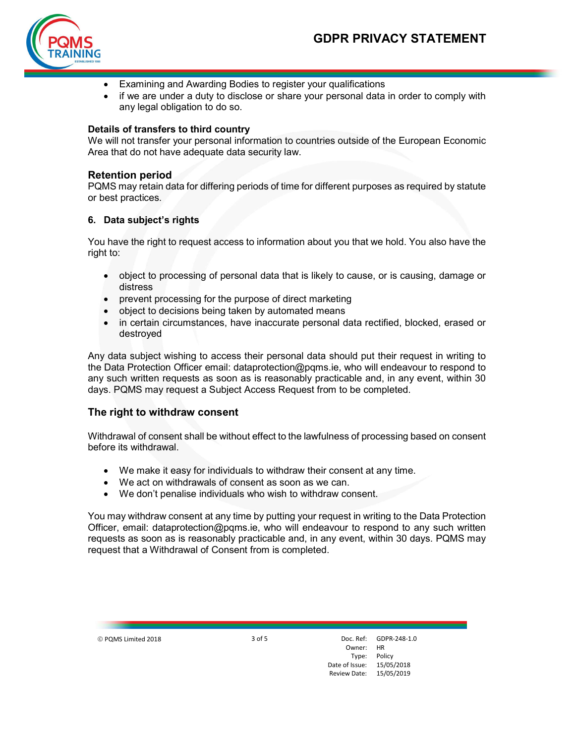

- Examining and Awarding Bodies to register your qualifications
- if we are under a duty to disclose or share your personal data in order to comply with any legal obligation to do so.

#### Details of transfers to third country

We will not transfer your personal information to countries outside of the European Economic Area that do not have adequate data security law.

### Retention period

PQMS may retain data for differing periods of time for different purposes as required by statute or best practices.

### 6. Data subject's rights

You have the right to request access to information about you that we hold. You also have the right to:

- object to processing of personal data that is likely to cause, or is causing, damage or distress
- prevent processing for the purpose of direct marketing
- object to decisions being taken by automated means
- in certain circumstances, have inaccurate personal data rectified, blocked, erased or destroyed

Any data subject wishing to access their personal data should put their request in writing to the Data Protection Officer email: dataprotection@pqms.ie, who will endeavour to respond to any such written requests as soon as is reasonably practicable and, in any event, within 30 days. PQMS may request a Subject Access Request from to be completed.

### The right to withdraw consent

Withdrawal of consent shall be without effect to the lawfulness of processing based on consent before its withdrawal.

- We make it easy for individuals to withdraw their consent at any time.
- We act on withdrawals of consent as soon as we can.
- We don't penalise individuals who wish to withdraw consent.

You may withdraw consent at any time by putting your request in writing to the Data Protection Officer, email: dataprotection@pqms.ie, who will endeavour to respond to any such written requests as soon as is reasonably practicable and, in any event, within 30 days. PQMS may request that a Withdrawal of Consent from is completed.

© PQMS Limited 2018 3 of 5

Owner: HR Type: Policy Date of Issue: Review Date: Doc. Ref: **GDPR-248-1.0** 15/05/2018 15/05/2019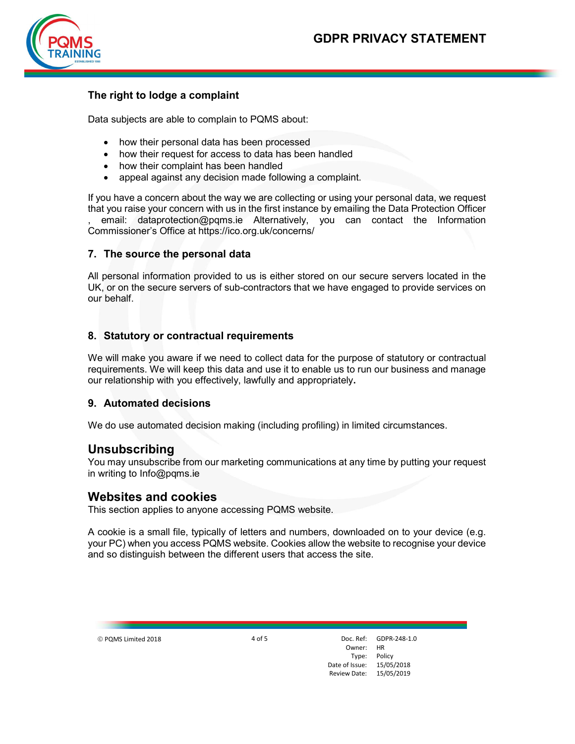

# The right to lodge a complaint

Data subjects are able to complain to PQMS about:

- how their personal data has been processed
- how their request for access to data has been handled
- how their complaint has been handled
- appeal against any decision made following a complaint.

If you have a concern about the way we are collecting or using your personal data, we request that you raise your concern with us in the first instance by emailing the Data Protection Officer , email: dataprotection@pqms.ie Alternatively, you can contact the Information

Commissioner's Office at https://ico.org.uk/concerns/

## 7. The source the personal data

All personal information provided to us is either stored on our secure servers located in the UK, or on the secure servers of sub-contractors that we have engaged to provide services on our behalf.

## 8. Statutory or contractual requirements

We will make you aware if we need to collect data for the purpose of statutory or contractual requirements. We will keep this data and use it to enable us to run our business and manage our relationship with you effectively, lawfully and appropriately.

### 9. Automated decisions

We do use automated decision making (including profiling) in limited circumstances.

## Unsubscribing

You may unsubscribe from our marketing communications at any time by putting your request in writing to Info@pqms.ie

## Websites and cookies

This section applies to anyone accessing PQMS website.

A cookie is a small file, typically of letters and numbers, downloaded on to your device (e.g. your PC) when you access PQMS website. Cookies allow the website to recognise your device and so distinguish between the different users that access the site.

© PQMS Limited 2018 4 of 5

Owner: HR Type: Policy Date of Issue: Review Date: Doc. Ref: **GDPR-248-1.0** 15/05/2018 15/05/2019